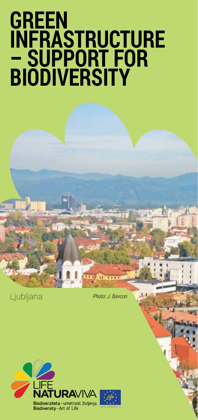# **GREEN INFRASTRUCTURE – SUPPORT FOR BIODIVERSITY**

Ljubljana *Photo: J. Bavcon* 

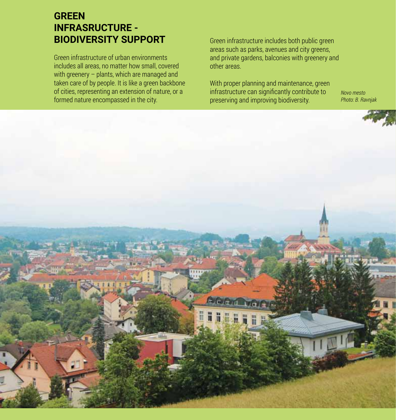# **GREEN INFRASRUCTURE - BIODIVERSITY SUPPORT**

Green infrastructure of urban environments includes all areas, no matter how small, covered with greenery – plants, which are managed and taken care of by people. It is like a green backbone of cities, representing an extension of nature, or a formed nature encompassed in the city.

Green infrastructure includes both public green areas such as parks, avenues and city greens, and private gardens, balconies with greenery and other areas.

With proper planning and maintenance, green infrastructure can significantly contribute to preserving and improving biodiversity.

*Novo mesto Photo: B. Ravnjak*

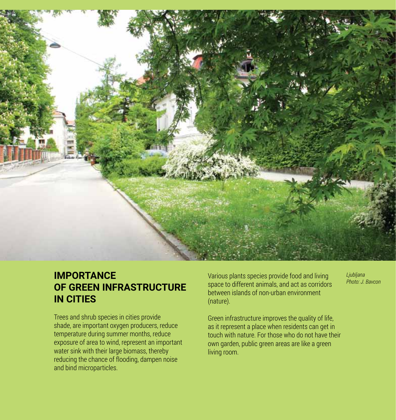

### **IMPORTANCE OF GREEN INFRASTRUCTURE IN CITIES**

Trees and shrub species in cities provide shade, are important oxygen producers, reduce temperature during summer months, reduce exposure of area to wind, represent an important water sink with their large biomass, thereby reducing the chance of flooding, dampen noise and bind microparticles.

Various plants species provide food and living space to different animals, and act as corridors between islands of non-urban environment (nature).

*Ljubljana Photo: J. Bavcon*

Green infrastructure improves the quality of life, as it represent a place when residents can get in touch with nature. For those who do not have their own garden, public green areas are like a green living room.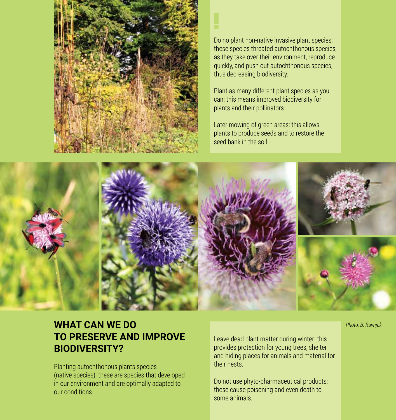

Do no plant non-native invasive plant species: these species threated autochthonous species, as they take over their environment, reproduce quickly, and push out autochthonous species, thus decreasing biodiversity.

Plant as many different plant species as you can: this means improved biodiversity for plants and their pollinators.

Later mowing of green areas: this allows plants to produce seeds and to restore the seed bank in the soil.



**!**

# **WHAT CAN WE DO TO PRESERVE AND IMPROVE BIODIVERSITY?**

Planting autochthonous plants species (native species): these are species that developed in our environment and are optimally adapted to our conditions.

Leave dead plant matter during winter: this provides protection for young trees, shelter and hiding places for animals and material for their nests.

Do not use phyto-pharmaceutical products: these cause poisoning and even death to some animals.

*Photo: B. Ravnjak*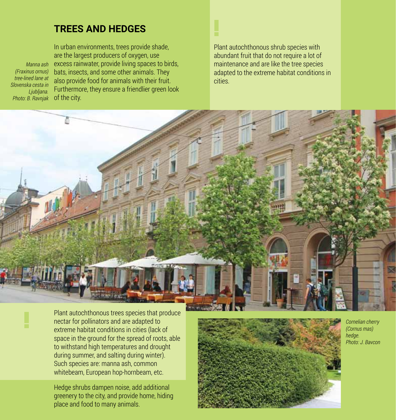#### **TREES AND HEDGES**

*Photo: B. Ravnjak* of the city. *Manna ash (Fraxinus ornus) tree-lined lane at Slovenska cesta in Ljubljana.*

In urban environments, trees provide shade, are the largest producers of oxygen, use excess rainwater, provide living spaces to birds, bats, insects, and some other animals. They also provide food for animals with their fruit. Furthermore, they ensure a friendlier green look Plant autochthonous shrub species with abundant fruit that do not require a lot of

**!**

maintenance and are like the tree species adapted to the extreme habitat conditions in cities.



**!** Plant autochthonous trees species that produce nectar for pollinators and are adapted to extreme habitat conditions in cities (lack of space in the ground for the spread of roots, able to withstand high temperatures and drought during summer, and salting during winter). Such species are: manna ash, common whitebeam, European hop-hornbeam, etc.

Hedge shrubs dampen noise, add additional greenery to the city, and provide home, hiding place and food to many animals.



*Cornelian cherry (Cornus mas) hedge. Photo: J. Bavcon*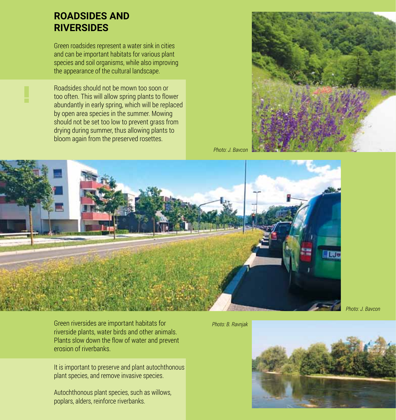#### **ROADSIDES AND RIVERSIDES**

Green roadsides represent a water sink in cities and can be important habitats for various plant species and soil organisms, while also improving the appearance of the cultural landscape.

Roadsides should not be mown too soon or too often. This will allow spring plants to flower abundantly in early spring, which will be replaced by open area species in the summer. Mowing should not be set too low to prevent grass from drying during summer, thus allowing plants to bloom again from the preserved rosettes.



*Photo: J. Bavcon*



*Photo: J. Bavcon*

Green riversides are important habitats for riverside plants, water birds and other animals. Plants slow down the flow of water and prevent erosion of riverbanks.

It is important to preserve and plant autochthonous plant species, and remove invasive species.

Autochthonous plant species, such as willows, poplars, alders, reinforce riverbanks.

#### *Photo: B. Ravnjak*

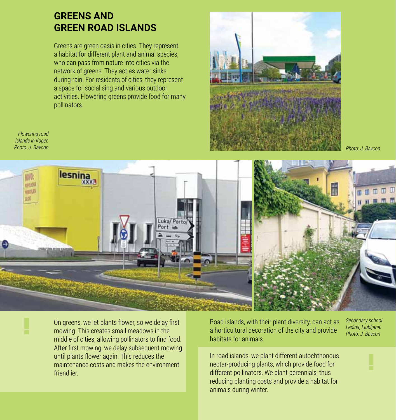#### **GREENS AND GREEN ROAD ISLANDS**

Greens are green oasis in cities. They represent a habitat for different plant and animal species, who can pass from nature into cities via the network of greens. They act as water sinks during rain. For residents of cities, they represent a space for socialising and various outdoor activities. Flowering greens provide food for many pollinators.



*Photo: J. Bavcon*

*Flowering road islands in Koper. Photo: J. Bavcon*



On greens, we let plants flower, so we delay first mowing. This creates small meadows in the middle of cities, allowing pollinators to find food. After first mowing, we delay subsequent mowing until plants flower again. This reduces the maintenance costs and makes the environment friendlier.

Road islands, with their plant diversity, can act as a horticultural decoration of the city and provide habitats for animals.

*Secondary school Ledina, Ljubljana. Photo: J. Bavcon*

In road islands, we plant different autochthonous nectar-producing plants, which provide food for different pollinators. We plant perennials, thus reducing planting costs and provide a habitat for animals during winter.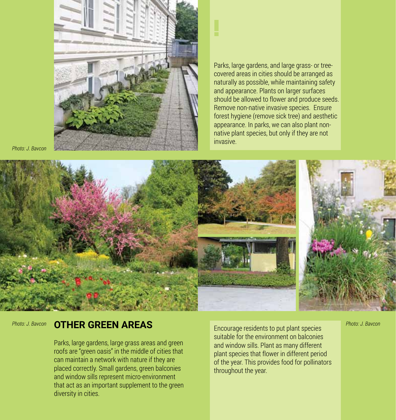

*Photo: J. Bavcon*

Parks, large gardens, and large grass- or treecovered areas in cities should be arranged as naturally as possible, while maintaining safety and appearance. Plants on larger surfaces should be allowed to flower and produce seeds. Remove non-native invasive species. Ensure forest hygiene (remove sick tree) and aesthetic appearance. In parks, we can also plant nonnative plant species, but only if they are not invasive.



**!**

#### **OTHER GREEN AREAS** *Photo: J. Bavcon Photo: J. Bavcon*

Parks, large gardens, large grass areas and green roofs are "green oasis" in the middle of cities that can maintain a network with nature if they are placed correctly. Small gardens, green balconies and window sills represent micro-environment that act as an important supplement to the green diversity in cities.

Encourage residents to put plant species suitable for the environment on balconies and window sills. Plant as many different plant species that flower in different period of the year. This provides food for pollinators throughout the year.